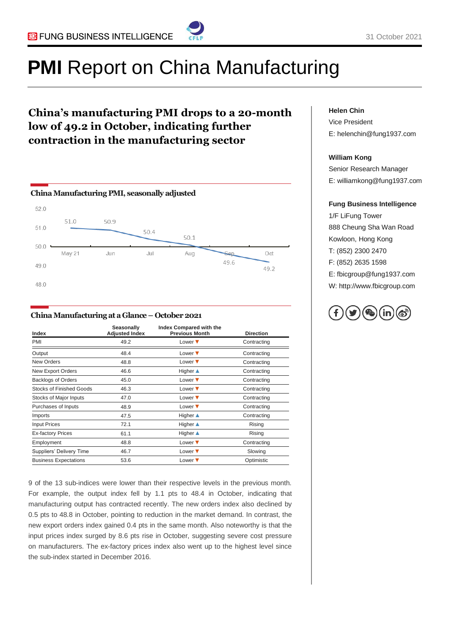

# **PMI** Report on China Manufacturing

### **China's manufacturing PMI drops to a 20-month low of 49.2 in October, indicating further contraction in the manufacturing sector**



#### **China Manufacturing at a Glance – October2021**

| Index                           | Seasonally<br><b>Adjusted Index</b> | Index Compared with the<br><b>Previous Month</b> | <b>Direction</b> |
|---------------------------------|-------------------------------------|--------------------------------------------------|------------------|
| PMI                             | 49.2                                | Lower $\blacktriangledown$                       | Contracting      |
| Output                          | 48.4                                | Lower $\blacktriangledown$                       | Contracting      |
| New Orders                      | 48.8                                | Lower $\blacktriangledown$                       | Contracting      |
| New Export Orders               | 46.6                                | <b>Higher</b> ▲                                  | Contracting      |
| <b>Backlogs of Orders</b>       | 45.0                                | Lower $\blacktriangledown$                       | Contracting      |
| <b>Stocks of Finished Goods</b> | 46.3                                | Lower $\blacktriangledown$                       | Contracting      |
| Stocks of Major Inputs          | 47.0                                | Lower $\blacktriangledown$                       | Contracting      |
| Purchases of Inputs             | 48.9                                | Lower $\blacktriangledown$                       | Contracting      |
| Imports                         | 47.5                                | <b>Higher</b> ▲                                  | Contracting      |
| <b>Input Prices</b>             | 72.1                                | <b>Higher</b> ▲                                  | Rising           |
| <b>Ex-factory Prices</b>        | 61.1                                | <b>Higher</b> ▲                                  | Rising           |
| Employment                      | 48.8                                | Lower $\blacktriangledown$                       | Contracting      |
| Suppliers' Delivery Time        | 46.7                                | Lower $\blacktriangledown$                       | Slowing          |
| <b>Business Expectations</b>    | 53.6                                | Lower $\blacktriangledown$                       | Optimistic       |

9 of the 13 sub-indices were lower than their respective levels in the previous month. For example, the output index fell by 1.1 pts to 48.4 in October, indicating that manufacturing output has contracted recently. The new orders index also declined by 0.5 pts to 48.8 in October, pointing to reduction in the market demand. In contrast, the new export orders index gained 0.4 pts in the same month. Also noteworthy is that the input prices index surged by 8.6 pts rise in October, suggesting severe cost pressure on manufacturers. The ex-factory prices index also went up to the highest level since the sub-index started in December 2016.

#### **Helen Chin**

Vice President E: helenchin@fung1937.com

#### **William Kong**

Senior Research Manager E: williamkong@fung1937.com

#### **Fung Business Intelligence**

1/F LiFung Tower 888 Cheung Sha Wan Road Kowloon, Hong Kong T: (852) 2300 2470 F: (852) 2635 1598 E: fbicgroup@fung1937.com W: http://www.fbicgroup.com

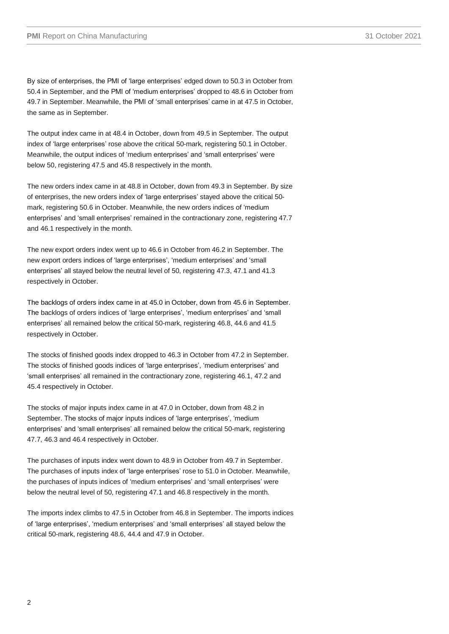By size of enterprises, the PMI of 'large enterprises' edged down to 50.3 in October from 50.4 in September, and the PMI of 'medium enterprises' dropped to 48.6 in October from 49.7 in September. Meanwhile, the PMI of 'small enterprises' came in at 47.5 in October, the same as in September.

The output index came in at 48.4 in October, down from 49.5 in September. The output index of 'large enterprises' rose above the critical 50-mark, registering 50.1 in October. Meanwhile, the output indices of 'medium enterprises' and 'small enterprises' were below 50, registering 47.5 and 45.8 respectively in the month.

The new orders index came in at 48.8 in October, down from 49.3 in September. By size of enterprises, the new orders index of 'large enterprises' stayed above the critical 50 mark, registering 50.6 in October. Meanwhile, the new orders indices of 'medium enterprises' and 'small enterprises' remained in the contractionary zone, registering 47.7 and 46.1 respectively in the month.

The new export orders index went up to 46.6 in October from 46.2 in September. The new export orders indices of 'large enterprises', 'medium enterprises' and 'small enterprises' all stayed below the neutral level of 50, registering 47.3, 47.1 and 41.3 respectively in October.

The backlogs of orders index came in at 45.0 in October, down from 45.6 in September. The backlogs of orders indices of 'large enterprises', 'medium enterprises' and 'small enterprises' all remained below the critical 50-mark, registering 46.8, 44.6 and 41.5 respectively in October.

The stocks of finished goods index dropped to 46.3 in October from 47.2 in September. The stocks of finished goods indices of 'large enterprises', 'medium enterprises' and 'small enterprises' all remained in the contractionary zone, registering 46.1, 47.2 and 45.4 respectively in October.

The stocks of major inputs index came in at 47.0 in October, down from 48.2 in September. The stocks of major inputs indices of 'large enterprises', 'medium enterprises' and 'small enterprises' all remained below the critical 50-mark, registering 47.7, 46.3 and 46.4 respectively in October.

The purchases of inputs index went down to 48.9 in October from 49.7 in September. The purchases of inputs index of 'large enterprises' rose to 51.0 in October. Meanwhile, the purchases of inputs indices of 'medium enterprises' and 'small enterprises' were below the neutral level of 50, registering 47.1 and 46.8 respectively in the month.

The imports index climbs to 47.5 in October from 46.8 in September. The imports indices of 'large enterprises', 'medium enterprises' and 'small enterprises' all stayed below the critical 50-mark, registering 48.6, 44.4 and 47.9 in October.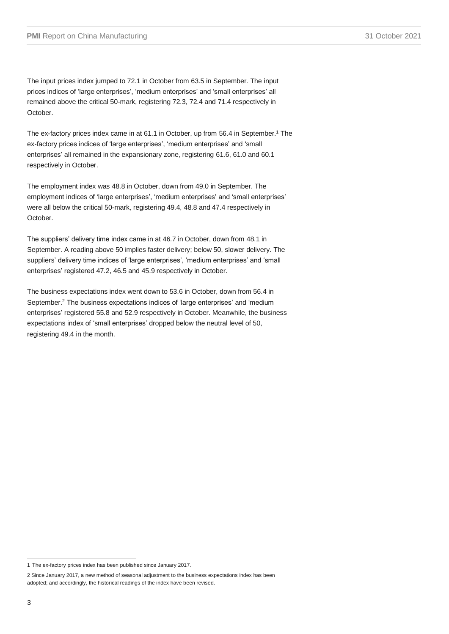The input prices index jumped to 72.1 in October from 63.5 in September. The input prices indices of 'large enterprises', 'medium enterprises' and 'small enterprises' all remained above the critical 50-mark, registering 72.3, 72.4 and 71.4 respectively in October.

The ex-factory prices index came in at 61.1 in October, up from 56.4 in September. <sup>1</sup> The ex-factory prices indices of 'large enterprises', 'medium enterprises' and 'small enterprises' all remained in the expansionary zone, registering 61.6, 61.0 and 60.1 respectively in October.

The employment index was 48.8 in October, down from 49.0 in September. The employment indices of 'large enterprises', 'medium enterprises' and 'small enterprises' were all below the critical 50-mark, registering 49.4, 48.8 and 47.4 respectively in October.

The suppliers' delivery time index came in at 46.7 in October, down from 48.1 in September. A reading above 50 implies faster delivery; below 50, slower delivery. The suppliers' delivery time indices of 'large enterprises', 'medium enterprises' and 'small enterprises' registered 47.2, 46.5 and 45.9 respectively in October.

The business expectations index went down to 53.6 in October, down from 56.4 in September. <sup>2</sup> The business expectations indices of 'large enterprises' and 'medium enterprises' registered 55.8 and 52.9 respectively in October. Meanwhile, the business expectations index of 'small enterprises' dropped below the neutral level of 50, registering 49.4 in the month.

<sup>1</sup> The ex-factory prices index has been published since January 2017.

<sup>2</sup> Since January 2017, a new method of seasonal adjustment to the business expectations index has been adopted; and accordingly, the historical readings of the index have been revised.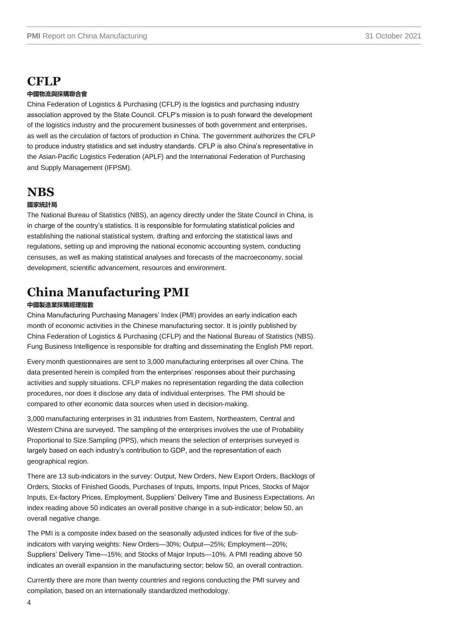## **CFLP**

#### **中國物流與採購聯合會**

China Federation of Logistics & Purchasing (CFLP) is the logistics and purchasing industry association approved by the State Council. CFLP's mission is to push forward the development of the logistics industry and the procurement businesses of both government and enterprises, as well as the circulation of factors of production in China. The government authorizes the CFLP to produce industry statistics and set industry standards. CFLP is also China's representative in the Asian-Pacific Logistics Federation (APLF) and the International Federation of Purchasing and Supply Management (IFPSM).

### **NBS**

#### **國家統計局**

The National Bureau of Statistics (NBS), an agency directly under the State Council in China, is in charge of the country's statistics. It is responsible for formulating statistical policies and establishing the national statistical system, drafting and enforcing the statistical laws and regulations, setting up and improving the national economic accounting system, conducting censuses, as well as making statistical analyses and forecasts of the macroeconomy, social development, scientific advancement, resources and environment.

# **China Manufacturing PMI**

#### **中國製造業採購經理指數**

China Manufacturing Purchasing Managers' Index (PMI) provides an early indication each month of economic activities in the Chinese manufacturing sector. It is jointly published by China Federation of Logistics & Purchasing (CFLP) and the National Bureau of Statistics (NBS). Fung Business Intelligence is responsible for drafting and disseminating the English PMI report.

Every month questionnaires are sent to 3,000 manufacturing enterprises all over China. The data presented herein is compiled from the enterprises' responses about their purchasing activities and supply situations. CFLP makes no representation regarding the data collection procedures, nor does it disclose any data of individual enterprises. The PMI should be compared to other economic data sources when used in decision-making.

3,000 manufacturing enterprises in 31 industries from Eastern, Northeastern, Central and Western China are surveyed. The sampling of the enterprises involves the use of Probability Proportional to Size Sampling (PPS), which means the selection of enterprises surveyed is largely based on each industry's contribution to GDP, and the representation of each geographical region.

There are 13 sub-indicators in the survey: Output, New Orders, New Export Orders, Backlogs of Orders, Stocks of Finished Goods, Purchases of Inputs, Imports, Input Prices, Stocks of Major Inputs, Ex-factory Prices, Employment, Suppliers' Delivery Time and Business Expectations. An index reading above 50 indicates an overall positive change in a sub-indicator; below 50, an overall negative change.

The PMI is a composite index based on the seasonally adjusted indices for five of the subindicators with varying weights: New Orders—30%; Output—25%; Employment—20%; Suppliers' Delivery Time—15%; and Stocks of Major Inputs—10%. A PMI reading above 50 indicates an overall expansion in the manufacturing sector; below 50, an overall contraction.

Currently there are more than twenty countries and regions conducting the PMI survey and compilation, based on an internationally standardized methodology.